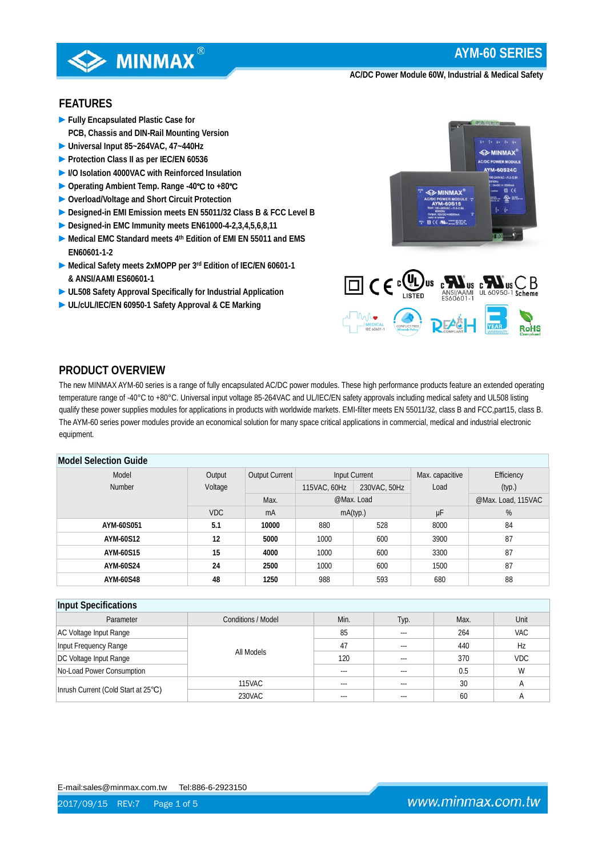

# **FEATURES**

- **►Fully Encapsulated Plastic Case for PCB, Chassis and DIN-Rail Mounting Version**
- **►Universal Input 85~264VAC, 47~440Hz**
- **►Protection Class II as per IEC/EN 60536**
- **►I/O Isolation 4000VAC with Reinforced Insulation**
- **►Operating Ambient Temp. Range -40**℃ **to +80**℃
- **►Overload/Voltage and Short Circuit Protection**
- **►Designed-in EMI Emission meets EN 55011/32 Class B & FCC Level B**
- **►Designed-in EMC Immunity meets EN61000-4-2,3,4,5,6,8,11**
- **►Medical EMC Standard meets 4th Edition of EMI EN 55011 and EMS EN60601-1-2**
- **►Medical Safety meets 2xMOPP per 3rd Edition of IEC/EN 60601-1 & ANSI/AAMI ES60601-1**
- **►UL508 Safety Approval Specifically for Industrial Application**
- **►UL/cUL/IEC/EN 60950-1 Safety Approval & CE Marking**





# **PRODUCT OVERVIEW**

The new MINMAX AYM-60 series is a range of fully encapsulated AC/DC power modules. These high performance products feature an extended operating temperature range of -40°C to +80°C. Universal input voltage 85-264VAC and UL/IEC/EN safety approvals including medical safety and UL508 listing qualify these power supplies modules for applications in products with worldwide markets. EMI-filter meets EN 55011/32, class B and FCC,part15, class B. The AYM-60 series power modules provide an economical solution for many space critical applications in commercial, medical and industrial electronic equipment.

### **Model Selection Guide**

| mouch sciediffer again. |            |                       |                              |            |                 |                    |  |  |  |
|-------------------------|------------|-----------------------|------------------------------|------------|-----------------|--------------------|--|--|--|
| Model                   | Output     | <b>Output Current</b> | Input Current                |            | Max. capacitive | Efficiency         |  |  |  |
| Number                  | Voltage    |                       | 230VAC, 50Hz<br>115VAC, 60Hz |            | Load            | (typ.)             |  |  |  |
|                         |            | Max.                  |                              | @Max. Load |                 | @Max. Load, 115VAC |  |  |  |
|                         | <b>VDC</b> | mA                    |                              | mA(typ.)   | μF              | %                  |  |  |  |
| AYM-60S051              | 5.1        | 10000                 | 880                          | 528        | 8000            | 84                 |  |  |  |
| AYM-60S12               | 12         | 5000                  | 1000                         | 600        | 3900            | 87                 |  |  |  |
| AYM-60S15               | 15         | 4000                  | 1000                         | 600        | 3300            | 87                 |  |  |  |
| AYM-60S24               | 24         | 2500                  | 1000                         | 600        | 1500            | 87                 |  |  |  |
| AYM-60S48               | 48         | 1250                  | 988                          | 593        | 680             | 88                 |  |  |  |

#### **Input Specifications** Parameter and Conditions / Model Min. Typ. Max. Unit AC Voltage Input Range All Models 85 -- 264 | VAC Input Frequency Range The Transition of the Contract of the Archives of the Archives of the Archives of the Archives of the Archives of the Archives of the Archives of the Archives of the Archives of the Archives of the Ar DC Voltage Input Range 120 --- 370 VDC No-Load Power Consumption and the constant of the consumption of the consumption of the consumption of the consumption of the consumption of the consumption of the consumption of the consumption of the consumption of the c Inrush Current (Cold Start at 25℃) 115VAC | --- | --- | 30 | A 230VAC | --- | --- | 60 | A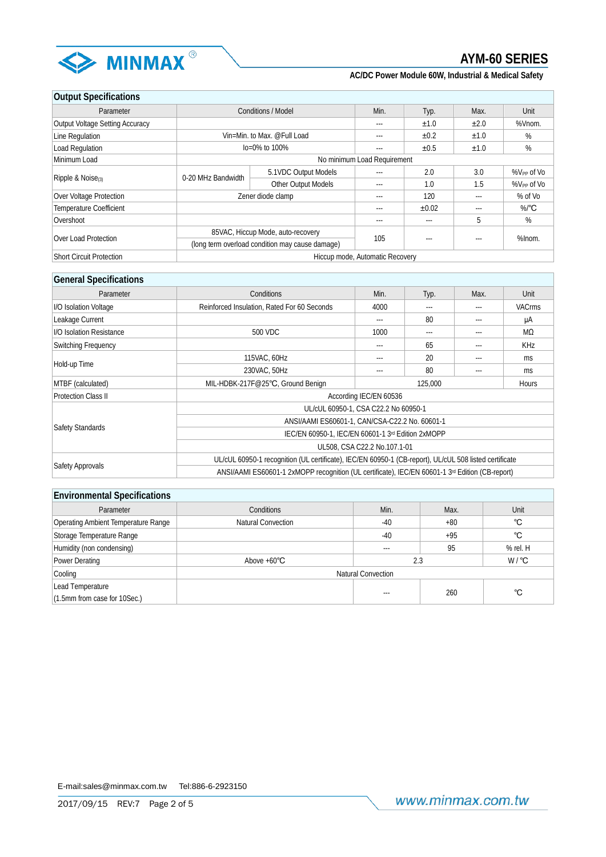

| <b>Output Specifications</b>    |                                                 |                             |       |           |         |                      |
|---------------------------------|-------------------------------------------------|-----------------------------|-------|-----------|---------|----------------------|
| Parameter                       |                                                 | <b>Conditions / Model</b>   | Min.  | Typ.      | Max.    | Unit                 |
| Output Voltage Setting Accuracy |                                                 |                             | ---   | ±1.0      | ±2.0    | %Vnom.               |
| Line Regulation                 |                                                 | Vin=Min. to Max. @Full Load | ---   | ±0.2      | ±1.0    | %                    |
| Load Regulation                 |                                                 | $10=0\%$ to 100%            | ---   | $\pm 0.5$ | ±1.0    | %                    |
| Minimum Load                    | No minimum Load Requirement                     |                             |       |           |         |                      |
|                                 | 0-20 MHz Bandwidth                              | 5.1VDC Output Models        | ---   | 2.0       | 3.0     | $%V_{PP}$ of $V_{0}$ |
| Ripple & Noise $\alpha$         |                                                 | Other Output Models         | $---$ | 1.0       | 1.5     | $\%V_{PP}$ of Vo     |
| Over Voltage Protection         | Zener diode clamp                               | ---                         | 120   |           | % of Vo |                      |
| <b>Temperature Coefficient</b>  |                                                 |                             | ---   | ±0.02     | ---     | $%$ <sup>°</sup> C   |
| Overshoot                       |                                                 |                             | ---   | $---$     | 5       | %                    |
| Over Load Protection            | 85VAC, Hiccup Mode, auto-recovery               |                             | 105   |           |         | %Inom.               |
|                                 | (long term overload condition may cause damage) |                             |       | $--$      |         |                      |
| <b>Short Circuit Protection</b> | Hiccup mode, Automatic Recovery                 |                             |       |           |         |                      |

# **General Specifications**

| <b>OUTURE OPPORTUNITY</b>  |                                                                                                        |                        |       |          |               |  |  |
|----------------------------|--------------------------------------------------------------------------------------------------------|------------------------|-------|----------|---------------|--|--|
| Parameter                  | Conditions                                                                                             | Min.<br>Max.<br>Typ.   |       |          | Unit          |  |  |
| I/O Isolation Voltage      | Reinforced Insulation, Rated For 60 Seconds                                                            | 4000<br>$---$<br>$---$ |       |          | <b>VACrms</b> |  |  |
| Leakage Current            |                                                                                                        | $---$                  | 80    | $---$    | μA            |  |  |
| I/O Isolation Resistance   | 500 VDC                                                                                                | 1000                   | $---$ | $\cdots$ | MΩ            |  |  |
| Switching Frequency        |                                                                                                        | ---                    | 65    | ---      | KHz           |  |  |
|                            | 115VAC, 60Hz                                                                                           | ---                    | 20    | ---      | ms            |  |  |
| Hold-up Time               | 230VAC, 50Hz                                                                                           | ---                    | 80    | ---      | ms            |  |  |
| MTBF (calculated)          | MIL-HDBK-217F@25°C, Ground Benign                                                                      | 125,000<br>Hours       |       |          |               |  |  |
| <b>Protection Class II</b> |                                                                                                        | According IEC/EN 60536 |       |          |               |  |  |
|                            | UL/cUL 60950-1, CSA C22.2 No 60950-1                                                                   |                        |       |          |               |  |  |
|                            | ANSI/AAMI ES60601-1, CAN/CSA-C22.2 No. 60601-1                                                         |                        |       |          |               |  |  |
| <b>Safety Standards</b>    | IEC/EN 60950-1, IEC/EN 60601-1 3rd Edition 2xMOPP                                                      |                        |       |          |               |  |  |
|                            | UL508, CSA C22.2 No.107.1-01                                                                           |                        |       |          |               |  |  |
|                            | UL/cUL 60950-1 recognition (UL certificate), IEC/EN 60950-1 (CB-report), UL/cUL 508 listed certificate |                        |       |          |               |  |  |
| Safety Approvals           | ANSI/AAMI ES60601-1 2xMOPP recognition (UL certificate), IEC/EN 60601-1 3rd Edition (CB-report)        |                        |       |          |               |  |  |

| <b>Environmental Specifications</b> |                                            |                           |       |          |  |  |  |  |  |
|-------------------------------------|--------------------------------------------|---------------------------|-------|----------|--|--|--|--|--|
| Parameter                           | <b>Conditions</b>                          | Min.                      | Max.  | Unit     |  |  |  |  |  |
| Operating Ambient Temperature Range | °C<br>Natural Convection<br>$-40$<br>$+80$ |                           |       |          |  |  |  |  |  |
| Storage Temperature Range           |                                            | $-40$                     | $+95$ | °C       |  |  |  |  |  |
| Humidity (non condensing)           |                                            | $---$                     | 95    | % rel. H |  |  |  |  |  |
| Power Derating                      | Above $+60^{\circ}$ C                      | W/°C<br>2.3               |       |          |  |  |  |  |  |
| Cooling                             |                                            | <b>Natural Convection</b> |       |          |  |  |  |  |  |
| Lead Temperature                    |                                            |                           |       | °C       |  |  |  |  |  |
| (1.5mm from case for 10Sec.)        |                                            | $--$                      | 260   |          |  |  |  |  |  |

E-mail:sales@minmax.com.tw Tel:886-6-2923150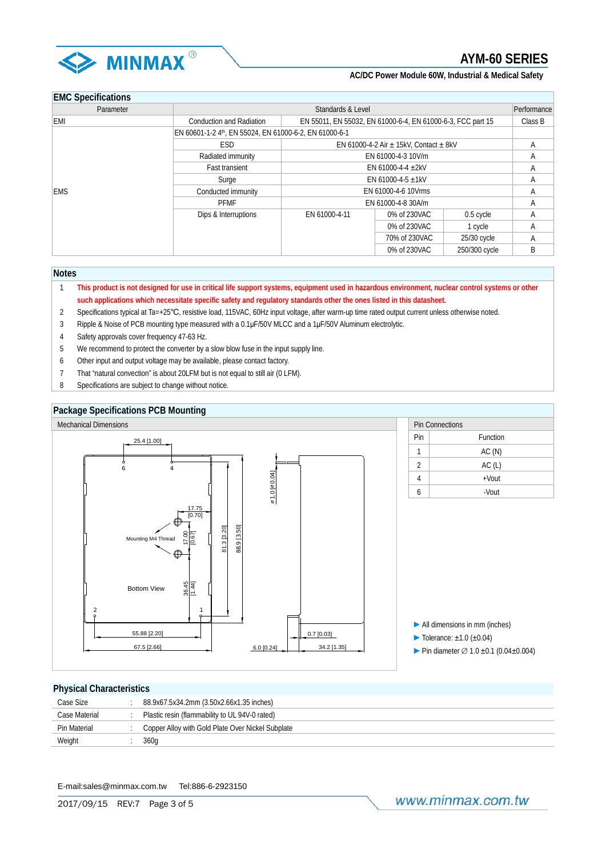

# **EMC Specifications**

| LIVIO OPTUILUULIOITS |                                                        |                                                             |               |               |   |  |  |
|----------------------|--------------------------------------------------------|-------------------------------------------------------------|---------------|---------------|---|--|--|
| Parameter            | Standards & Level<br>Performance                       |                                                             |               |               |   |  |  |
| EMI                  | <b>Conduction and Radiation</b>                        | EN 55011, EN 55032, EN 61000-6-4, EN 61000-6-3, FCC part 15 |               |               |   |  |  |
|                      | EN 60601-1-2 4th, EN 55024, EN 61000-6-2, EN 61000-6-1 |                                                             |               |               |   |  |  |
|                      | ESD.                                                   | EN 61000-4-2 Air $\pm$ 15kV, Contact $\pm$ 8kV              |               | A             |   |  |  |
|                      | Radiated immunity                                      | EN 61000-4-3 10V/m                                          | А             |               |   |  |  |
|                      | <b>Fast transient</b>                                  | EN 61000-4-4 $\pm$ 2kV                                      | Α             |               |   |  |  |
|                      | Surge                                                  | EN 61000-4-5 $\pm$ 1kV                                      | Α             |               |   |  |  |
| <b>EMS</b>           | Conducted immunity                                     | EN 61000-4-6 10Vrms                                         | А             |               |   |  |  |
|                      | <b>PFMF</b>                                            | EN 61000-4-8 30A/m                                          | Α             |               |   |  |  |
|                      | Dips & Interruptions                                   | EN 61000-4-11                                               | 0% of 230VAC  | $0.5$ cycle   | Α |  |  |
|                      |                                                        |                                                             | 0% of 230VAC  | 1 cycle       | Α |  |  |
|                      |                                                        |                                                             | 70% of 230VAC | 25/30 cycle   | Α |  |  |
|                      |                                                        |                                                             | 0% of 230VAC  | 250/300 cycle | B |  |  |

#### **Notes**

- 1 **This product is not designed for use in critical life support systems, equipment used in hazardous environment, nuclear control systems or other such applications which necessitate specific safety and regulatory standards other the ones listed in this datasheet.**
- 2 Specifications typical at Ta=+25℃, resistive load, 115VAC, 60Hz input voltage, after warm-up time rated output current unless otherwise noted.
- 3 Ripple & Noise of PCB mounting type measured with a 0.1μF/50V MLCC and a 1μF/50V Aluminum electrolytic.
- 4 Safety approvals cover frequency 47-63 Hz.
- 5 We recommend to protect the converter by a slow blow fuse in the input supply line.
- 6 Other input and output voltage may be available, please contact factory.
- 7 That "natural convection" is about 20LFM but is not equal to still air (0 LFM).
- 8 Specifications are subject to change without notice.



### **Physical Characteristics**

| Case Size     | 88.9x67.5x34.2mm (3.50x2.66x1.35 inches)          |
|---------------|---------------------------------------------------|
| Case Material | Plastic resin (flammability to UL 94V-0 rated)    |
| Pin Material  | Copper Alloy with Gold Plate Over Nickel Subplate |
| Weight        | 360g                                              |
|               |                                                   |

E-mail:sales@minmax.com.tw Tel:886-6-2923150

www.minmax.com.tw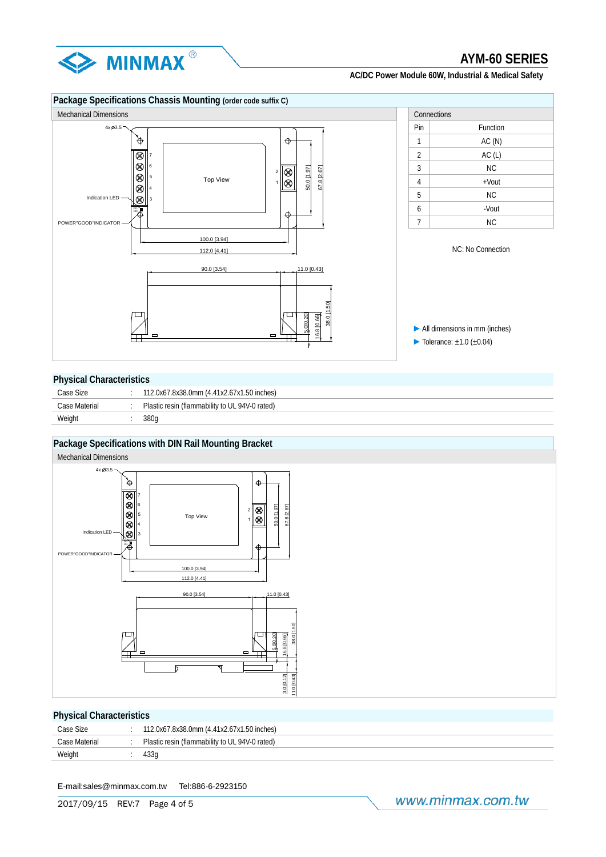



### **Physical Characteristics**

| Case Size     | 112.0x67.8x38.0mm (4.41x2.67x1.50 inches)      |
|---------------|------------------------------------------------|
| Case Material | Plastic resin (flammability to UL 94V-0 rated) |
| Weight        | 380a                                           |

# **Package Specifications with DIN Rail Mounting Bracket**



## **Physical Characteristics**

| Case Size     | 112.0x67.8x38.0mm (4.41x2.67x1.50 inches)      |
|---------------|------------------------------------------------|
| Case Material | Plastic resin (flammability to UL 94V-0 rated) |
| Weight        |                                                |

E-mail:sales@minmax.com.tw Tel:886-6-2923150

www.minmax.com.tw